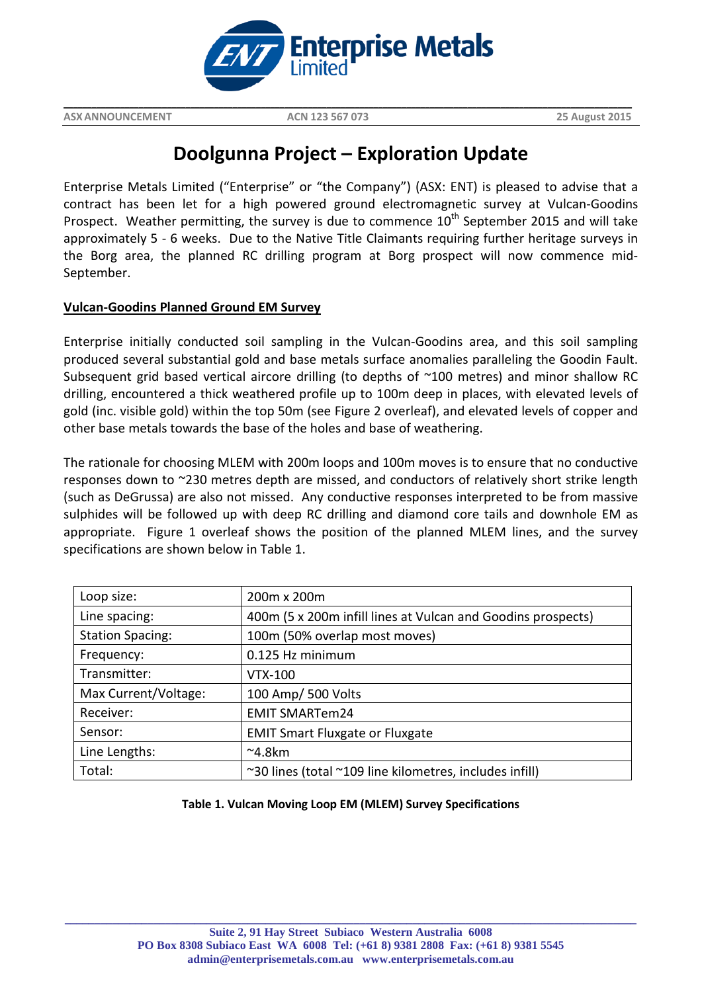

**ASXANNOUNCEMENT ACN 123 567 073 25 August 2015**

# **Doolgunna Project – Exploration Update**

**\_\_\_\_\_\_\_\_\_\_\_\_\_\_\_\_\_\_\_\_\_\_\_\_\_\_\_\_\_\_\_\_\_\_\_\_\_\_\_\_\_\_\_\_\_\_\_\_\_\_\_\_\_\_\_\_\_\_\_\_\_\_\_\_\_\_\_\_\_\_\_\_\_\_\_\_\_\_\_\_\_\_\_\_\_\_\_\_\_\_\_\_\_\_\_\_\_\_\_\_\_\_\_\_\_\_\_\_\_\_\_\_\_\_\_\_\_\_\_\_\_**

Enterprise Metals Limited ("Enterprise" or "the Company") (ASX: ENT) is pleased to advise that a contract has been let for a high powered ground electromagnetic survey at Vulcan-Goodins Prospect. Weather permitting, the survey is due to commence  $10<sup>th</sup>$  September 2015 and will take approximately 5 - 6 weeks. Due to the Native Title Claimants requiring further heritage surveys in the Borg area, the planned RC drilling program at Borg prospect will now commence mid-September.

## **Vulcan-Goodins Planned Ground EM Survey**

Enterprise initially conducted soil sampling in the Vulcan-Goodins area, and this soil sampling produced several substantial gold and base metals surface anomalies paralleling the Goodin Fault. Subsequent grid based vertical aircore drilling (to depths of ~100 metres) and minor shallow RC drilling, encountered a thick weathered profile up to 100m deep in places, with elevated levels of gold (inc. visible gold) within the top 50m (see Figure 2 overleaf), and elevated levels of copper and other base metals towards the base of the holes and base of weathering.

The rationale for choosing MLEM with 200m loops and 100m moves is to ensure that no conductive responses down to ~230 metres depth are missed, and conductors of relatively short strike length (such as DeGrussa) are also not missed. Any conductive responses interpreted to be from massive sulphides will be followed up with deep RC drilling and diamond core tails and downhole EM as appropriate. Figure 1 overleaf shows the position of the planned MLEM lines, and the survey specifications are shown below in Table 1.

| Loop size:              | 200m x 200m                                                  |
|-------------------------|--------------------------------------------------------------|
| Line spacing:           | 400m (5 x 200m infill lines at Vulcan and Goodins prospects) |
| <b>Station Spacing:</b> | 100m (50% overlap most moves)                                |
| Frequency:              | 0.125 Hz minimum                                             |
| Transmitter:            | <b>VTX-100</b>                                               |
| Max Current/Voltage:    | 100 Amp/ 500 Volts                                           |
| Receiver:               | <b>EMIT SMARTem24</b>                                        |
| Sensor:                 | <b>EMIT Smart Fluxgate or Fluxgate</b>                       |
| Line Lengths:           | $^{\sim}$ 4.8km                                              |
| Total:                  | ~30 lines (total ~109 line kilometres, includes infill)      |

## **Table 1. Vulcan Moving Loop EM (MLEM) Survey Specifications**

**\_\_\_\_\_\_\_\_\_\_\_\_\_\_\_\_\_\_\_\_\_\_\_\_\_\_\_\_\_\_\_\_\_\_\_\_\_\_\_\_\_\_\_\_\_\_\_\_\_\_\_\_\_\_\_\_\_\_\_\_\_\_\_\_\_\_\_\_\_\_\_\_\_\_\_\_\_\_\_\_\_\_\_\_\_\_\_\_\_\_\_\_\_\_\_\_\_**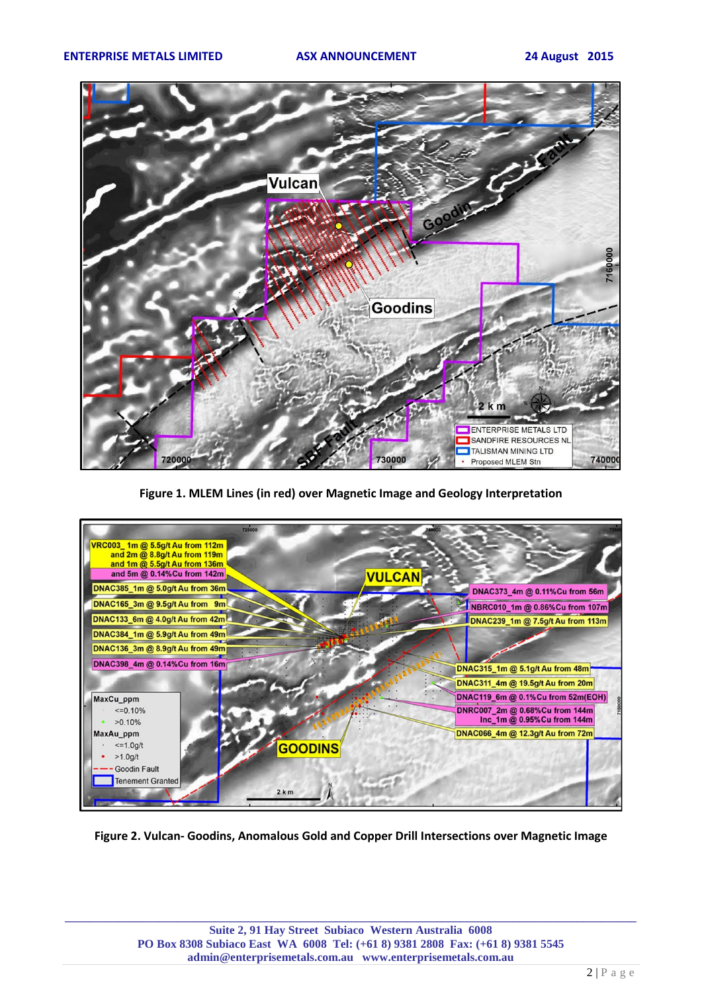

**Figure 1. MLEM Lines (in red) over Magnetic Image and Geology Interpretation**



**Figure 2. Vulcan- Goodins, Anomalous Gold and Copper Drill Intersections over Magnetic Image**

**\_\_\_\_\_\_\_\_\_\_\_\_\_\_\_\_\_\_\_\_\_\_\_\_\_\_\_\_\_\_\_\_\_\_\_\_\_\_\_\_\_\_\_\_\_\_\_\_\_\_\_\_\_\_\_\_\_\_\_\_\_\_\_\_\_\_\_\_\_\_\_\_\_\_\_\_\_\_\_\_\_\_\_\_\_\_\_\_\_\_\_\_\_\_\_\_\_**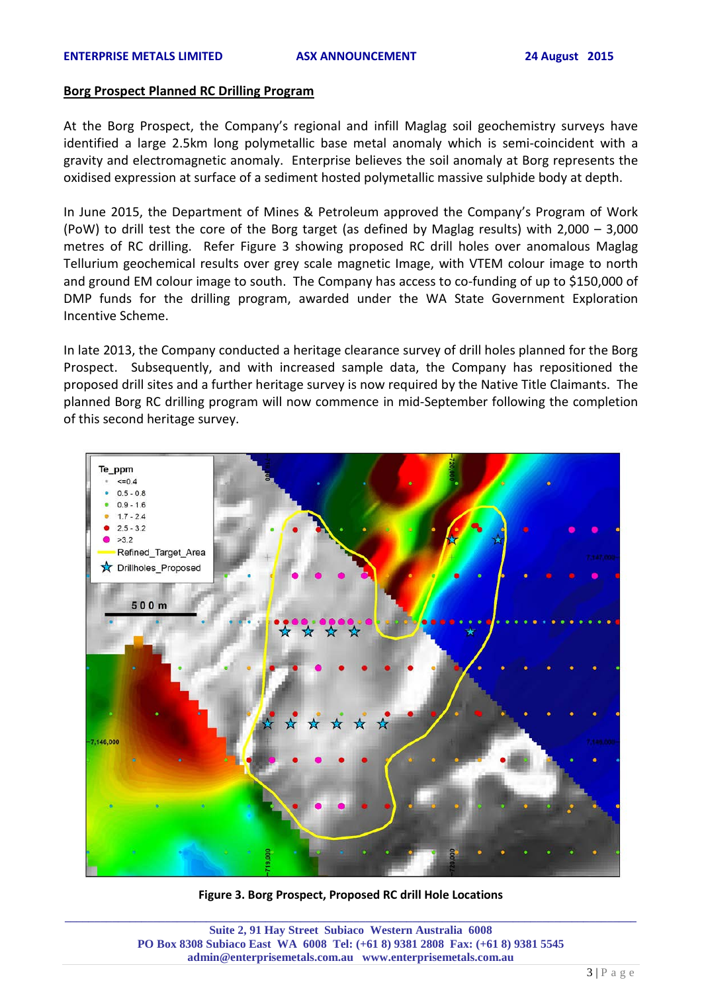### **Borg Prospect Planned RC Drilling Program**

At the Borg Prospect, the Company's regional and infill Maglag soil geochemistry surveys have identified a large 2.5km long polymetallic base metal anomaly which is semi-coincident with a gravity and electromagnetic anomaly. Enterprise believes the soil anomaly at Borg represents the oxidised expression at surface of a sediment hosted polymetallic massive sulphide body at depth.

In June 2015, the Department of Mines & Petroleum approved the Company's Program of Work (PoW) to drill test the core of the Borg target (as defined by Maglag results) with 2,000 – 3,000 metres of RC drilling. Refer Figure 3 showing proposed RC drill holes over anomalous Maglag Tellurium geochemical results over grey scale magnetic Image, with VTEM colour image to north and ground EM colour image to south. The Company has access to co-funding of up to \$150,000 of DMP funds for the drilling program, awarded under the WA State Government Exploration Incentive Scheme.

In late 2013, the Company conducted a heritage clearance survey of drill holes planned for the Borg Prospect. Subsequently, and with increased sample data, the Company has repositioned the proposed drill sites and a further heritage survey is now required by the Native Title Claimants. The planned Borg RC drilling program will now commence in mid-September following the completion of this second heritage survey.



**\_\_\_\_\_\_\_\_\_\_\_\_\_\_\_\_\_\_\_\_\_\_\_\_\_\_\_\_\_\_\_\_\_\_\_\_\_\_\_\_\_\_\_\_\_\_\_\_\_\_\_\_\_\_\_\_\_\_\_\_\_\_\_\_\_\_\_\_\_\_\_\_\_\_\_\_\_\_\_\_\_\_\_\_\_\_\_\_\_\_\_\_\_\_\_\_\_ Figure 3. Borg Prospect, Proposed RC drill Hole Locations** 

**Suite 2, 91 Hay Street Subiaco Western Australia 6008 PO Box 8308 Subiaco East WA 6008 Tel: (+61 8) 9381 2808 Fax: (+61 8) 9381 5545 admin@enterprisemetals.com.au www.enterprisemetals.com.au**